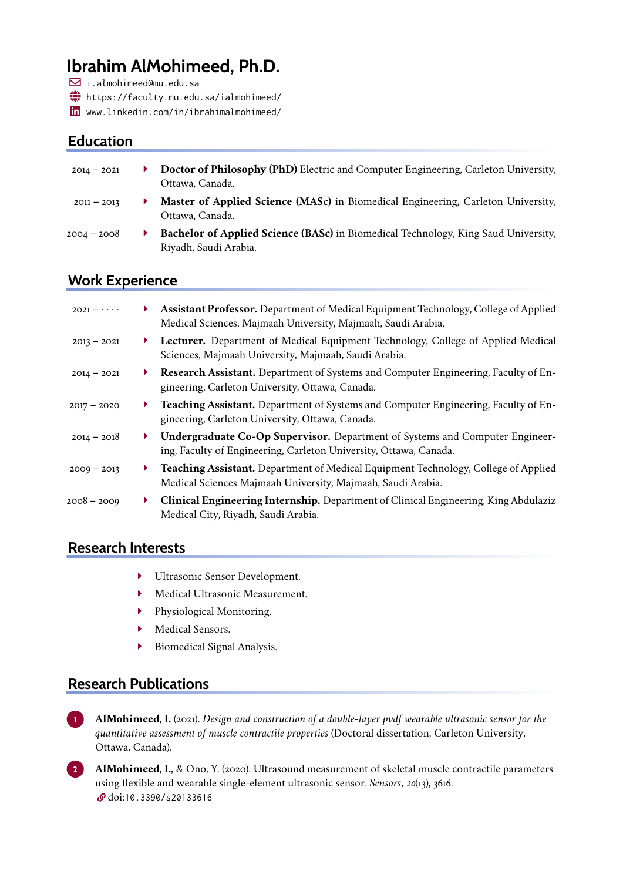# **Ibrahim AlMohimeed, Ph.D.**

 $\boxdot$  i.almohimeed@mu.edu.sa

~ <https://faculty.mu.edu.sa/ialmohimeed/>

è <www.linkedin.com/in/ibrahimalmohimeed/>

## **Education**

| $2014 - 2021$ | ▶ . | Doctor of Philosophy (PhD) Electric and Computer Engineering, Carleton University,                          |
|---------------|-----|-------------------------------------------------------------------------------------------------------------|
|               |     | Ottawa, Canada.                                                                                             |
| $2011 - 2013$ |     | Master of Applied Science (MASc) in Biomedical Engineering, Carleton University,<br>Ottawa, Canada.         |
| 2004 – 2008   |     | Bachelor of Applied Science (BASc) in Biomedical Technology, King Saud University,<br>Riyadh, Saudi Arabia. |

#### **Work Experience**

| $2021 - \cdots$ | Þ.           | Assistant Professor. Department of Medical Equipment Technology, College of Applied<br>Medical Sciences, Majmaah University, Majmaah, Saudi Arabia.      |
|-----------------|--------------|----------------------------------------------------------------------------------------------------------------------------------------------------------|
| $2013 - 2021$   | ▶.           | <b>Lecturer.</b> Department of Medical Equipment Technology, College of Applied Medical<br>Sciences, Majmaah University, Majmaah, Saudi Arabia.          |
| $2014 - 2021$   | Þ.           | <b>Research Assistant.</b> Department of Systems and Computer Engineering, Faculty of En-<br>gineering, Carleton University, Ottawa, Canada.             |
| $2017 - 2020$   | ▶            | <b>Teaching Assistant.</b> Department of Systems and Computer Engineering, Faculty of En-<br>gineering, Carleton University, Ottawa, Canada.             |
| $2014 - 2018$   | ▶            | <b>Undergraduate Co-Op Supervisor.</b> Department of Systems and Computer Engineer-<br>ing, Faculty of Engineering, Carleton University, Ottawa, Canada. |
| $2009 - 2013$   | $\mathbf{F}$ | Teaching Assistant. Department of Medical Equipment Technology, College of Applied<br>Medical Sciences Majmaah University, Majmaah, Saudi Arabia.        |
| 2008 – 2009     | ▶            | Clinical Engineering Internship. Department of Clinical Engineering, King Abdulaziz<br>Medical City, Riyadh, Saudi Arabia.                               |

### **Research Interests**

- **Interest Multrasonic Sensor Development.**
- Medical Ultrasonic Measurement.
- **Physiological Monitoring.**
- Medical Sensors.
- **Biomedical Signal Analysis.**

## **Research Publications**

**1 AlMohimeed**, **I.** (2021). *Design and construction of a double-layer pvdf wearable ultrasonic sensor for the quantitative assessment of muscle contractile properties* (Doctoral dissertation, Carleton University, Ottawa, Canada).